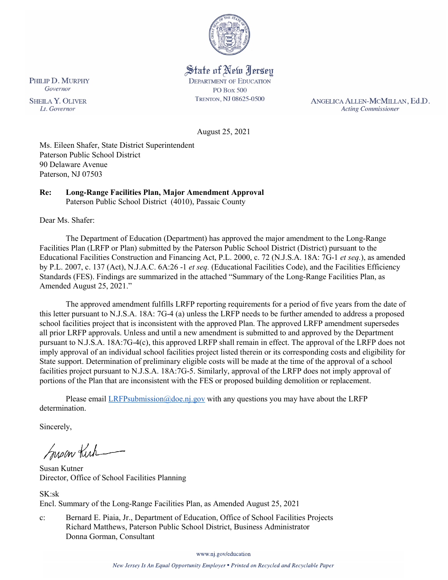

State of New Jersey **DEPARTMENT OF EDUCATION PO Box 500** TRENTON, NJ 08625-0500

ANGELICA ALLEN-MCMILLAN, Ed.D. **Acting Commissioner** 

August 25, 2021

Ms. Eileen Shafer, State District Superintendent Paterson Public School District 90 Delaware Avenue Paterson, NJ 07503

#### **Re: Long-Range Facilities Plan, Major Amendment Approval**  Paterson Public School District (4010), Passaic County

Dear Ms. Shafer:

The Department of Education (Department) has approved the major amendment to the Long-Range Facilities Plan (LRFP or Plan) submitted by the Paterson Public School District (District) pursuant to the Educational Facilities Construction and Financing Act, P.L. 2000, c. 72 (N.J.S.A. 18A: 7G-1 *et seq.*), as amended by P.L. 2007, c. 137 (Act), N.J.A.C. 6A:26 -1 *et seq.* (Educational Facilities Code), and the Facilities Efficiency Standards (FES). Findings are summarized in the attached "Summary of the Long-Range Facilities Plan, as Amended August 25, 2021."

The approved amendment fulfills LRFP reporting requirements for a period of five years from the date of this letter pursuant to N.J.S.A. 18A: 7G-4 (a) unless the LRFP needs to be further amended to address a proposed school facilities project that is inconsistent with the approved Plan. The approved LRFP amendment supersedes all prior LRFP approvals. Unless and until a new amendment is submitted to and approved by the Department pursuant to N.J.S.A. 18A:7G-4(c), this approved LRFP shall remain in effect. The approval of the LRFP does not imply approval of an individual school facilities project listed therein or its corresponding costs and eligibility for State support. Determination of preliminary eligible costs will be made at the time of the approval of a school facilities project pursuant to N.J.S.A. 18A:7G-5. Similarly, approval of the LRFP does not imply approval of portions of the Plan that are inconsistent with the FES or proposed building demolition or replacement.

Please email  $LRFP submission@doe.nj.gov$  with any questions you may have about the LRFP determination.

Sincerely,

Susan Kich

Susan Kutner Director, Office of School Facilities Planning

SK:sk Encl. Summary of the Long-Range Facilities Plan, as Amended August 25, 2021

c: Bernard E. Piaia, Jr., Department of Education, Office of School Facilities Projects Richard Matthews, Paterson Public School District, Business Administrator Donna Gorman, Consultant

www.nj.gov/education

PHILIP D. MURPHY Governor

**SHEILA Y. OLIVER** Lt. Governor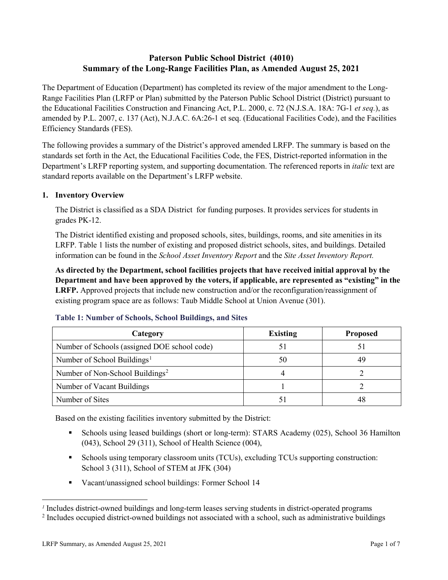# **Paterson Public School District (4010) Summary of the Long-Range Facilities Plan, as Amended August 25, 2021**

The Department of Education (Department) has completed its review of the major amendment to the Long-Range Facilities Plan (LRFP or Plan) submitted by the Paterson Public School District (District) pursuant to the Educational Facilities Construction and Financing Act, P.L. 2000, c. 72 (N.J.S.A. 18A: 7G-1 *et seq.*), as amended by P.L. 2007, c. 137 (Act), N.J.A.C. 6A:26-1 et seq. (Educational Facilities Code), and the Facilities Efficiency Standards (FES).

The following provides a summary of the District's approved amended LRFP. The summary is based on the standards set forth in the Act, the Educational Facilities Code, the FES, District-reported information in the Department's LRFP reporting system, and supporting documentation. The referenced reports in *italic* text are standard reports available on the Department's LRFP website.

## **1. Inventory Overview**

The District is classified as a SDA District for funding purposes. It provides services for students in grades PK-12.

The District identified existing and proposed schools, sites, buildings, rooms, and site amenities in its LRFP. Table 1 lists the number of existing and proposed district schools, sites, and buildings. Detailed information can be found in the *School Asset Inventory Report* and the *Site Asset Inventory Report.*

**As directed by the Department, school facilities projects that have received initial approval by the Department and have been approved by the voters, if applicable, are represented as "existing" in the LRFP.** Approved projects that include new construction and/or the reconfiguration/reassignment of existing program space are as follows: Taub Middle School at Union Avenue (301).

| Category                                     | <b>Existing</b> | <b>Proposed</b> |
|----------------------------------------------|-----------------|-----------------|
| Number of Schools (assigned DOE school code) |                 |                 |
| Number of School Buildings <sup>1</sup>      | 50              | 49              |
| Number of Non-School Buildings <sup>2</sup>  |                 |                 |
| Number of Vacant Buildings                   |                 |                 |
| Number of Sites                              |                 | 4۶              |

## **Table 1: Number of Schools, School Buildings, and Sites**

Based on the existing facilities inventory submitted by the District:

- Schools using leased buildings (short or long-term): STARS Academy (025), School 36 Hamilton (043), School 29 (311), School of Health Science (004),
- Schools using temporary classroom units (TCUs), excluding TCUs supporting construction: School 3 (311), School of STEM at JFK (304)
- Vacant/unassigned school buildings: Former School 14

 $\overline{a}$ 

<span id="page-1-1"></span><span id="page-1-0"></span>*<sup>1</sup>* Includes district-owned buildings and long-term leases serving students in district-operated programs

<sup>&</sup>lt;sup>2</sup> Includes occupied district-owned buildings not associated with a school, such as administrative buildings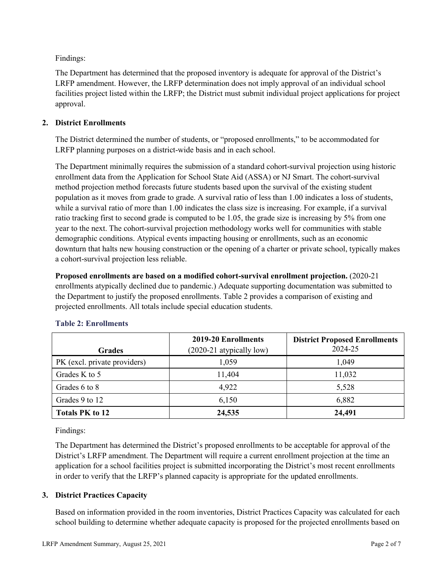Findings:

The Department has determined that the proposed inventory is adequate for approval of the District's LRFP amendment. However, the LRFP determination does not imply approval of an individual school facilities project listed within the LRFP; the District must submit individual project applications for project approval.

## **2. District Enrollments**

The District determined the number of students, or "proposed enrollments," to be accommodated for LRFP planning purposes on a district-wide basis and in each school.

The Department minimally requires the submission of a standard cohort-survival projection using historic enrollment data from the Application for School State Aid (ASSA) or NJ Smart. The cohort-survival method projection method forecasts future students based upon the survival of the existing student population as it moves from grade to grade. A survival ratio of less than 1.00 indicates a loss of students, while a survival ratio of more than 1.00 indicates the class size is increasing. For example, if a survival ratio tracking first to second grade is computed to be 1.05, the grade size is increasing by 5% from one year to the next. The cohort-survival projection methodology works well for communities with stable demographic conditions. Atypical events impacting housing or enrollments, such as an economic downturn that halts new housing construction or the opening of a charter or private school, typically makes a cohort-survival projection less reliable.

**Proposed enrollments are based on a modified cohort-survival enrollment projection.** (2020-21 enrollments atypically declined due to pandemic.) Adequate supporting documentation was submitted to the Department to justify the proposed enrollments. Table 2 provides a comparison of existing and projected enrollments. All totals include special education students.

|                              | 2019-20 Enrollments        | <b>District Proposed Enrollments</b> |
|------------------------------|----------------------------|--------------------------------------|
| <b>Grades</b>                | $(2020-21$ atypically low) | 2024-25                              |
| PK (excl. private providers) | 1,059                      | 1,049                                |
| Grades K to 5                | 11,404                     | 11,032                               |
| Grades 6 to 8                | 4,922                      | 5,528                                |
| Grades 9 to 12               | 6,150                      | 6,882                                |
| <b>Totals PK to 12</b>       | 24,535                     | 24,491                               |

## **Table 2: Enrollments**

Findings:

The Department has determined the District's proposed enrollments to be acceptable for approval of the District's LRFP amendment. The Department will require a current enrollment projection at the time an application for a school facilities project is submitted incorporating the District's most recent enrollments in order to verify that the LRFP's planned capacity is appropriate for the updated enrollments.

## **3. District Practices Capacity**

Based on information provided in the room inventories, District Practices Capacity was calculated for each school building to determine whether adequate capacity is proposed for the projected enrollments based on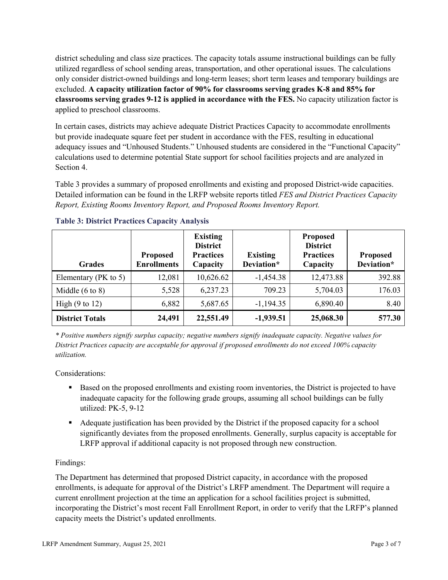district scheduling and class size practices. The capacity totals assume instructional buildings can be fully utilized regardless of school sending areas, transportation, and other operational issues. The calculations only consider district-owned buildings and long-term leases; short term leases and temporary buildings are excluded. **A capacity utilization factor of 90% for classrooms serving grades K-8 and 85% for classrooms serving grades 9-12 is applied in accordance with the FES.** No capacity utilization factor is applied to preschool classrooms.

In certain cases, districts may achieve adequate District Practices Capacity to accommodate enrollments but provide inadequate square feet per student in accordance with the FES, resulting in educational adequacy issues and "Unhoused Students." Unhoused students are considered in the "Functional Capacity" calculations used to determine potential State support for school facilities projects and are analyzed in Section 4.

Table 3 provides a summary of proposed enrollments and existing and proposed District-wide capacities. Detailed information can be found in the LRFP website reports titled *FES and District Practices Capacity Report, Existing Rooms Inventory Report, and Proposed Rooms Inventory Report.*

| <b>Grades</b>              | <b>Proposed</b><br><b>Enrollments</b> | <b>Existing</b><br><b>District</b><br><b>Practices</b><br>Capacity | <b>Existing</b><br>Deviation* | <b>Proposed</b><br><b>District</b><br><b>Practices</b><br>Capacity | <b>Proposed</b><br>Deviation* |
|----------------------------|---------------------------------------|--------------------------------------------------------------------|-------------------------------|--------------------------------------------------------------------|-------------------------------|
| Elementary ( $PK$ to 5)    | 12,081                                | 10,626.62                                                          | $-1,454.38$                   | 12,473.88                                                          | 392.88                        |
| Middle $(6 \text{ to } 8)$ | 5,528                                 | 6,237.23                                                           | 709.23                        | 5,704.03                                                           | 176.03                        |
| High $(9 \text{ to } 12)$  | 6,882                                 | 5,687.65                                                           | $-1,194.35$                   | 6,890.40                                                           | 8.40                          |
| <b>District Totals</b>     | 24,491                                | 22,551.49                                                          | $-1,939.51$                   | 25,068.30                                                          | 577.30                        |

## **Table 3: District Practices Capacity Analysis**

*\* Positive numbers signify surplus capacity; negative numbers signify inadequate capacity. Negative values for District Practices capacity are acceptable for approval if proposed enrollments do not exceed 100% capacity utilization.*

Considerations:

- Based on the proposed enrollments and existing room inventories, the District is projected to have inadequate capacity for the following grade groups, assuming all school buildings can be fully utilized: PK-5, 9-12
- Adequate justification has been provided by the District if the proposed capacity for a school significantly deviates from the proposed enrollments. Generally, surplus capacity is acceptable for LRFP approval if additional capacity is not proposed through new construction.

## Findings:

The Department has determined that proposed District capacity, in accordance with the proposed enrollments, is adequate for approval of the District's LRFP amendment. The Department will require a current enrollment projection at the time an application for a school facilities project is submitted, incorporating the District's most recent Fall Enrollment Report, in order to verify that the LRFP's planned capacity meets the District's updated enrollments.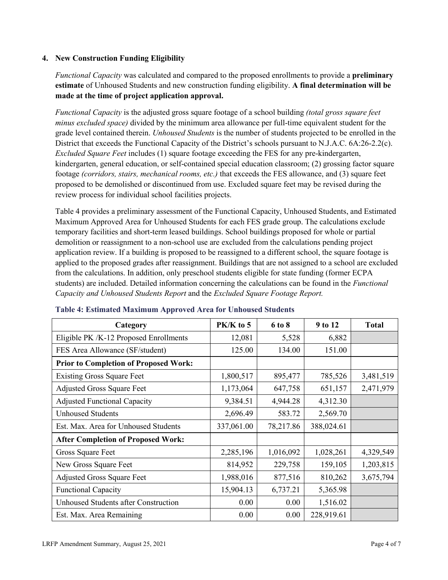## **4. New Construction Funding Eligibility**

*Functional Capacity* was calculated and compared to the proposed enrollments to provide a **preliminary estimate** of Unhoused Students and new construction funding eligibility. **A final determination will be made at the time of project application approval.**

*Functional Capacity* is the adjusted gross square footage of a school building *(total gross square feet minus excluded space)* divided by the minimum area allowance per full-time equivalent student for the grade level contained therein. *Unhoused Students* is the number of students projected to be enrolled in the District that exceeds the Functional Capacity of the District's schools pursuant to N.J.A.C. 6A:26-2.2(c). *Excluded Square Feet* includes (1) square footage exceeding the FES for any pre-kindergarten, kindergarten, general education, or self-contained special education classroom; (2) grossing factor square footage *(corridors, stairs, mechanical rooms, etc.)* that exceeds the FES allowance, and (3) square feet proposed to be demolished or discontinued from use. Excluded square feet may be revised during the review process for individual school facilities projects.

Table 4 provides a preliminary assessment of the Functional Capacity, Unhoused Students, and Estimated Maximum Approved Area for Unhoused Students for each FES grade group. The calculations exclude temporary facilities and short-term leased buildings. School buildings proposed for whole or partial demolition or reassignment to a non-school use are excluded from the calculations pending project application review. If a building is proposed to be reassigned to a different school, the square footage is applied to the proposed grades after reassignment. Buildings that are not assigned to a school are excluded from the calculations. In addition, only preschool students eligible for state funding (former ECPA students) are included. Detailed information concerning the calculations can be found in the *Functional Capacity and Unhoused Students Report* and the *Excluded Square Footage Report.*

| Category                                     | $PK/K$ to 5 | 6 to 8    | 9 to 12    | <b>Total</b> |
|----------------------------------------------|-------------|-----------|------------|--------------|
| Eligible PK /K-12 Proposed Enrollments       | 12,081      | 5,528     | 6,882      |              |
| FES Area Allowance (SF/student)              | 125.00      | 134.00    | 151.00     |              |
| <b>Prior to Completion of Proposed Work:</b> |             |           |            |              |
| <b>Existing Gross Square Feet</b>            | 1,800,517   | 895,477   | 785,526    | 3,481,519    |
| <b>Adjusted Gross Square Feet</b>            | 1,173,064   | 647,758   | 651,157    | 2,471,979    |
| <b>Adjusted Functional Capacity</b>          | 9,384.51    | 4,944.28  | 4,312.30   |              |
| <b>Unhoused Students</b>                     | 2,696.49    | 583.72    | 2,569.70   |              |
| Est. Max. Area for Unhoused Students         | 337,061.00  | 78,217.86 | 388,024.61 |              |
| <b>After Completion of Proposed Work:</b>    |             |           |            |              |
| Gross Square Feet                            | 2,285,196   | 1,016,092 | 1,028,261  | 4,329,549    |
| New Gross Square Feet                        | 814,952     | 229,758   | 159,105    | 1,203,815    |
| <b>Adjusted Gross Square Feet</b>            | 1,988,016   | 877,516   | 810,262    | 3,675,794    |
| <b>Functional Capacity</b>                   | 15,904.13   | 6,737.21  | 5,365.98   |              |
| <b>Unhoused Students after Construction</b>  | 0.00        | 0.00      | 1,516.02   |              |
| Est. Max. Area Remaining                     | 0.00        | 0.00      | 228,919.61 |              |

#### **Table 4: Estimated Maximum Approved Area for Unhoused Students**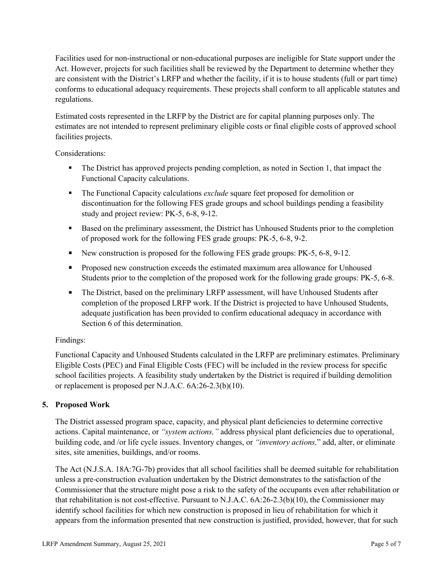Facilities used for non-instructional or non-educational purposes are ineligible for State support under the Act. However, projects for such facilities shall be reviewed by the Department to determine whether they are consistent with the District's LRFP and whether the facility, if it is to house students (full or part time) conforms to educational adequacy requirements. These projects shall conform to all applicable statutes and regulations.

Estimated costs represented in the LRFP by the District are for capital planning purposes only. The estimates are not intended to represent preliminary eligible costs or final eligible costs of approved school facilities projects.

Considerations:

- The District has approved projects pending completion, as noted in Section 1, that impact the Functional Capacity calculations.
- **The Functional Capacity calculations** *exclude* square feet proposed for demolition or discontinuation for the following FES grade groups and school buildings pending a feasibility study and project review: PK-5, 6-8, 9-12.
- Based on the preliminary assessment, the District has Unhoused Students prior to the completion of proposed work for the following FES grade groups: PK-5, 6-8, 9-2.
- New construction is proposed for the following FES grade groups: PK-5, 6-8, 9-12.
- Proposed new construction exceeds the estimated maximum area allowance for Unhoused Students prior to the completion of the proposed work for the following grade groups: PK-5, 6-8.
- The District, based on the preliminary LRFP assessment, will have Unhoused Students after completion of the proposed LRFP work. If the District is projected to have Unhoused Students, adequate justification has been provided to confirm educational adequacy in accordance with Section 6 of this determination.

## Findings:

Functional Capacity and Unhoused Students calculated in the LRFP are preliminary estimates. Preliminary Eligible Costs (PEC) and Final Eligible Costs (FEC) will be included in the review process for specific school facilities projects. A feasibility study undertaken by the District is required if building demolition or replacement is proposed per N.J.A.C. 6A:26-2.3(b)(10).

## **5. Proposed Work**

The District assessed program space, capacity, and physical plant deficiencies to determine corrective actions. Capital maintenance, or *"system actions,"* address physical plant deficiencies due to operational, building code, and /or life cycle issues. Inventory changes, or *"inventory actions,*" add, alter, or eliminate sites, site amenities, buildings, and/or rooms.

The Act (N.J.S.A. 18A:7G-7b) provides that all school facilities shall be deemed suitable for rehabilitation unless a pre-construction evaluation undertaken by the District demonstrates to the satisfaction of the Commissioner that the structure might pose a risk to the safety of the occupants even after rehabilitation or that rehabilitation is not cost-effective. Pursuant to N.J.A.C. 6A:26-2.3(b)(10), the Commissioner may identify school facilities for which new construction is proposed in lieu of rehabilitation for which it appears from the information presented that new construction is justified, provided, however, that for such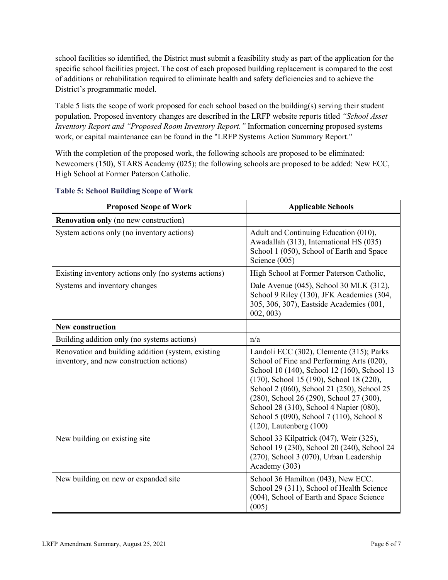school facilities so identified, the District must submit a feasibility study as part of the application for the specific school facilities project. The cost of each proposed building replacement is compared to the cost of additions or rehabilitation required to eliminate health and safety deficiencies and to achieve the District's programmatic model.

Table 5 lists the scope of work proposed for each school based on the building(s) serving their student population. Proposed inventory changes are described in the LRFP website reports titled *"School Asset Inventory Report and "Proposed Room Inventory Report."* Information concerning proposed systems work, or capital maintenance can be found in the "LRFP Systems Action Summary Report."

With the completion of the proposed work, the following schools are proposed to be eliminated: Newcomers (150), STARS Academy (025); the following schools are proposed to be added: New ECC, High School at Former Paterson Catholic.

| <b>Proposed Scope of Work</b>                                                                  | <b>Applicable Schools</b>                                                                                                                                                                                                                                                                                                                                                                         |
|------------------------------------------------------------------------------------------------|---------------------------------------------------------------------------------------------------------------------------------------------------------------------------------------------------------------------------------------------------------------------------------------------------------------------------------------------------------------------------------------------------|
| <b>Renovation only</b> (no new construction)                                                   |                                                                                                                                                                                                                                                                                                                                                                                                   |
| System actions only (no inventory actions)                                                     | Adult and Continuing Education (010),<br>Awadallah (313), International HS (035)<br>School 1 (050), School of Earth and Space<br>Science (005)                                                                                                                                                                                                                                                    |
| Existing inventory actions only (no systems actions)                                           | High School at Former Paterson Catholic,                                                                                                                                                                                                                                                                                                                                                          |
| Systems and inventory changes                                                                  | Dale Avenue (045), School 30 MLK (312),<br>School 9 Riley (130), JFK Academies (304,<br>305, 306, 307), Eastside Academies (001,<br>002, 003                                                                                                                                                                                                                                                      |
| <b>New construction</b>                                                                        |                                                                                                                                                                                                                                                                                                                                                                                                   |
| Building addition only (no systems actions)                                                    | n/a                                                                                                                                                                                                                                                                                                                                                                                               |
| Renovation and building addition (system, existing<br>inventory, and new construction actions) | Landoli ECC (302), Clemente (315); Parks<br>School of Fine and Performing Arts (020),<br>School 10 (140), School 12 (160), School 13<br>(170), School 15 (190), School 18 (220),<br>School 2 (060), School 21 (250), School 25<br>(280), School 26 (290), School 27 (300),<br>School 28 (310), School 4 Napier (080),<br>School 5 (090), School 7 (110), School 8<br>$(120)$ , Lautenberg $(100)$ |
| New building on existing site                                                                  | School 33 Kilpatrick (047), Weir (325),<br>School 19 (230), School 20 (240), School 24<br>(270), School 3 (070), Urban Leadership<br>Academy (303)                                                                                                                                                                                                                                                |
| New building on new or expanded site                                                           | School 36 Hamilton (043), New ECC.<br>School 29 (311), School of Health Science<br>(004), School of Earth and Space Science<br>(005)                                                                                                                                                                                                                                                              |

#### **Table 5: School Building Scope of Work**